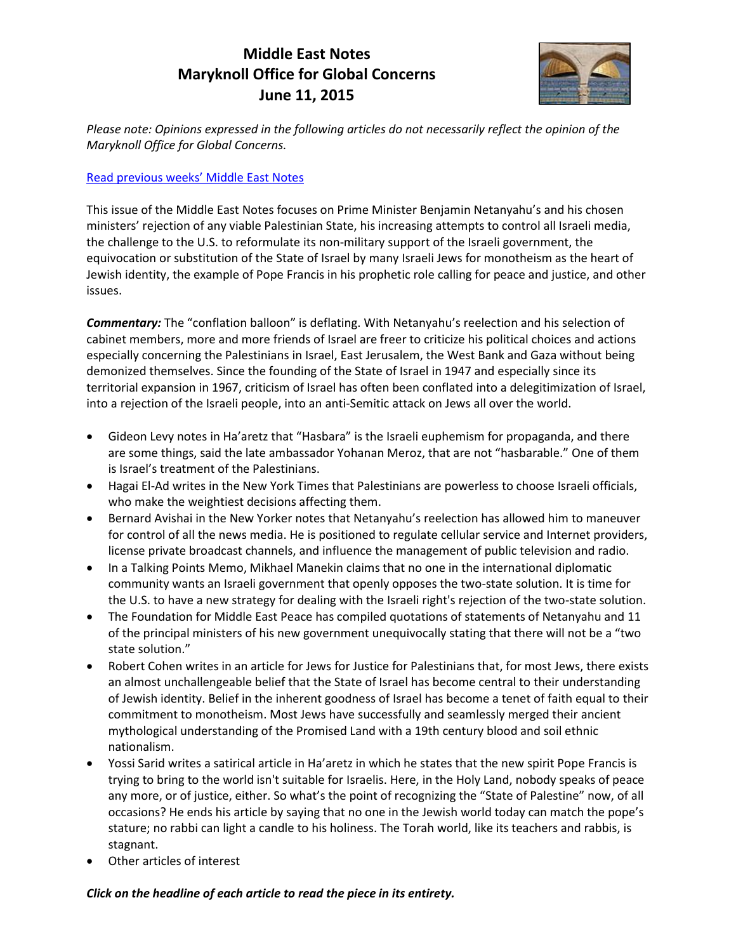# **Middle East Notes Maryknoll Office for Global Concerns June 11, 2015**



*Please note: Opinions expressed in the following articles do not necessarily reflect the opinion of the Maryknoll Office for Global Concerns.*

## [Read previous weeks' Middle East Note](http://maryknollogc.org/tag/middle-east-notes)s

This issue of the Middle East Notes focuses on Prime Minister Benjamin Netanyahu's and his chosen ministers' rejection of any viable Palestinian State, his increasing attempts to control all Israeli media, the challenge to the U.S. to reformulate its non-military support of the Israeli government, the equivocation or substitution of the State of Israel by many Israeli Jews for monotheism as the heart of Jewish identity, the example of Pope Francis in his prophetic role calling for peace and justice, and other issues.

*Commentary:* The "conflation balloon" is deflating. With Netanyahu's reelection and his selection of cabinet members, more and more friends of Israel are freer to criticize his political choices and actions especially concerning the Palestinians in Israel, East Jerusalem, the West Bank and Gaza without being demonized themselves. Since the founding of the State of Israel in 1947 and especially since its territorial expansion in 1967, criticism of Israel has often been conflated into a delegitimization of Israel, into a rejection of the Israeli people, into an anti-Semitic attack on Jews all over the world.

- Gideon Levy notes in Ha'aretz that "Hasbara" is the Israeli euphemism for propaganda, and there are some things, said the late ambassador Yohanan Meroz, that are not "hasbarable." One of them is Israel's treatment of the Palestinians.
- Hagai El-Ad writes in the New York Times that Palestinians are powerless to choose Israeli officials, who make the weightiest decisions affecting them.
- Bernard Avishai in the New Yorker notes that Netanyahu's reelection has allowed him to maneuver for control of all the news media. He is positioned to regulate cellular service and Internet providers, license private broadcast channels, and influence the management of public television and radio.
- In a Talking Points Memo, Mikhael Manekin claims that no one in the international diplomatic community wants an Israeli government that openly opposes the two-state solution. It is time for the U.S. to have a new strategy for dealing with the Israeli right's rejection of the two-state solution.
- The Foundation for Middle East Peace has compiled quotations of statements of Netanyahu and 11 of the principal ministers of his new government unequivocally stating that there will not be a "two state solution."
- Robert Cohen writes in an article for Jews for Justice for Palestinians that, for most Jews, there exists an almost unchallengeable belief that the State of Israel has become central to their understanding of Jewish identity. Belief in the inherent goodness of Israel has become a tenet of faith equal to their commitment to monotheism. Most Jews have successfully and seamlessly merged their ancient mythological understanding of the Promised Land with a 19th century blood and soil ethnic nationalism.
- Yossi Sarid writes a satirical article in Ha'aretz in which he states that the new spirit Pope Francis is trying to bring to the world isn't suitable for Israelis. Here, in the Holy Land, nobody speaks of peace any more, or of justice, either. So what's the point of recognizing the "State of Palestine" now, of all occasions? He ends his article by saying that no one in the Jewish world today can match the pope's stature; no rabbi can light a candle to his holiness. The Torah world, like its teachers and rabbis, is stagnant.
- Other articles of interest

### *Click on the headline of each article to read the piece in its entirety.*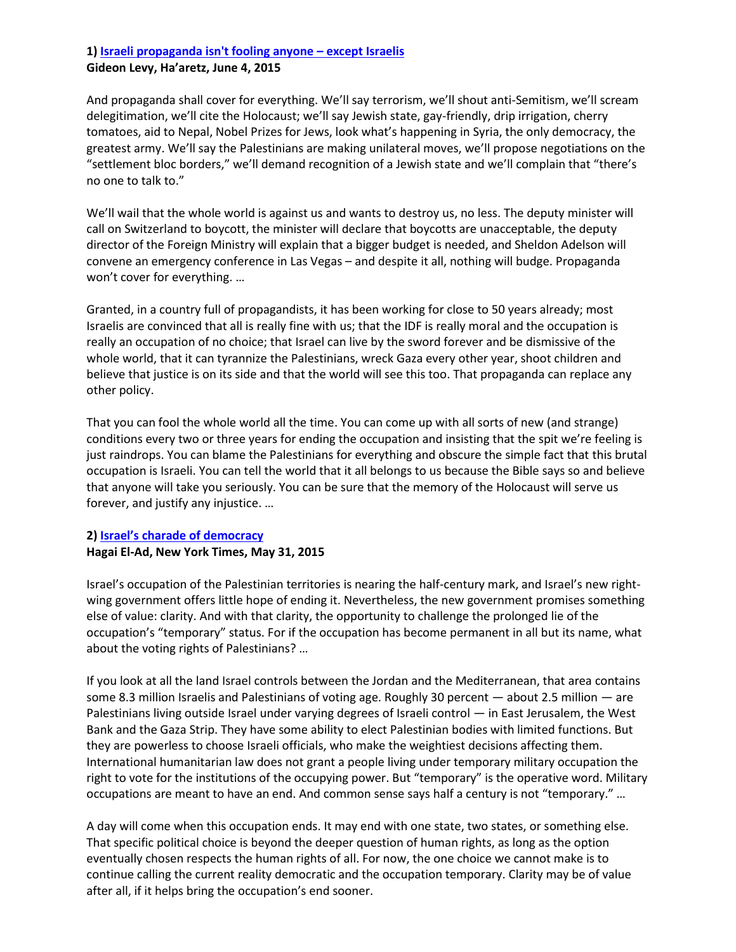## **1[\) Israeli propaganda isn't fooling anyone](http://www.haaretz.com/opinion/.premium-1.659480) – except Israelis**

#### **Gideon Levy, Ha'aretz, June 4, 2015**

And propaganda shall cover for everything. We'll say terrorism, we'll shout anti-Semitism, we'll scream delegitimation, we'll cite the Holocaust; we'll say Jewish state, gay-friendly, drip irrigation, cherry tomatoes, aid to Nepal, Nobel Prizes for Jews, look what's happening in Syria, the only democracy, the greatest army. We'll say the Palestinians are making unilateral moves, we'll propose negotiations on the "settlement bloc borders," we'll demand recognition of a Jewish state and we'll complain that "there's no one to talk to."

We'll wail that the whole world is against us and wants to destroy us, no less. The deputy minister will call on Switzerland to boycott, the minister will declare that boycotts are unacceptable, the deputy director of the Foreign Ministry will explain that a bigger budget is needed, and Sheldon Adelson will convene an emergency conference in Las Vegas – and despite it all, nothing will budge. Propaganda won't cover for everything. …

Granted, in a country full of propagandists, it has been working for close to 50 years already; most Israelis are convinced that all is really fine with us; that the IDF is really moral and the occupation is really an occupation of no choice; that Israel can live by the sword forever and be dismissive of the whole world, that it can tyrannize the Palestinians, wreck Gaza every other year, shoot children and believe that justice is on its side and that the world will see this too. That propaganda can replace any other policy.

That you can fool the whole world all the time. You can come up with all sorts of new (and strange) conditions every two or three years for ending the occupation and insisting that the spit we're feeling is just raindrops. You can blame the Palestinians for everything and obscure the simple fact that this brutal occupation is Israeli. You can tell the world that it all belongs to us because the Bible says so and believe that anyone will take you seriously. You can be sure that the memory of the Holocaust will serve us forever, and justify any injustice. …

## **2) [Israel's charade of](http://mobile.nytimes.com/2015/06/01/opinion/israels-charade-of-democracy.html?_r=0) democracy Hagai El-Ad, New York Times, May 31, 2015**

Israel's occupation of the Palestinian territories is nearing the half-century mark, and Israel's new rightwing government offers little hope of ending it. Nevertheless, the new government promises something else of value: clarity. And with that clarity, the opportunity to challenge the prolonged lie of the occupation's "temporary" status. For if the occupation has become permanent in all but its name, what about the voting rights of Palestinians? …

If you look at all the land Israel controls between the Jordan and the Mediterranean, that area contains some 8.3 million Israelis and Palestinians of voting age. Roughly 30 percent — about 2.5 million — are Palestinians living outside Israel under varying degrees of Israeli control — in East Jerusalem, the West Bank and the Gaza Strip. They have some ability to elect Palestinian bodies with limited functions. But they are powerless to choose Israeli officials, who make the weightiest decisions affecting them. International humanitarian law does not grant a people living under temporary military occupation the right to vote for the institutions of the occupying power. But "temporary" is the operative word. Military occupations are meant to have an end. And common sense says half a century is not "temporary." …

A day will come when this occupation ends. It may end with one state, two states, or something else. That specific political choice is beyond the deeper question of human rights, as long as the option eventually chosen respects the human rights of all. For now, the one choice we cannot make is to continue calling the current reality democratic and the occupation temporary. Clarity may be of value after all, if it helps bring the occupation's end sooner.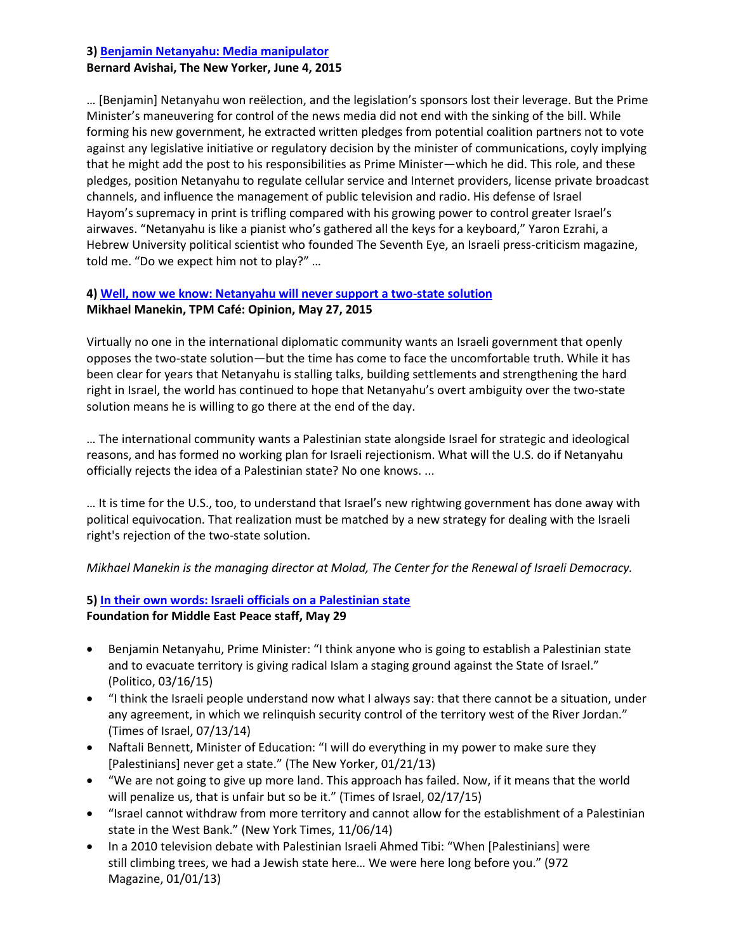# **3[\) Benjamin Netanyahu: Media manipulator](http://www.newyorker.com/news/news-desk/netanyahu-plays-the-media) Bernard Avishai, The New Yorker, June 4, 2015**

… [Benjamin] Netanyahu won reëlection, and the legislation's sponsors lost their leverage. But the Prime Minister's maneuvering for control of the news media did not end with the sinking of the bill. While forming his new government, he extracted written pledges from potential coalition partners not to vote against any legislative initiative or regulatory decision by the minister of communications, coyly implying that he might add the post to his responsibilities as Prime Minister—which he did. This role, and these pledges, position Netanyahu to regulate cellular service and Internet providers, license private broadcast channels, and influence the management of public television and radio. His defense of Israel Hayom's supremacy in print is trifling compared with his growing power to control greater Israel's airwaves. "Netanyahu is like a pianist who's gathered all the keys for a keyboard," Yaron Ezrahi, a Hebrew University political scientist who founded The Seventh Eye, an Israeli press-criticism magazine, told me. "Do we expect him not to play?" …

# **4[\) Well, now we know: Netanyahu will never support a two-state solution](http://talkingpointsmemo.com/cafe/netanyahu-dore-gold-two-state-solution) Mikhael Manekin, TPM Café: Opinion, May 27, 2015**

Virtually no one in the international diplomatic community wants an Israeli government that openly opposes the two-state solution—but the time has come to face the uncomfortable truth. While it has been clear for years that Netanyahu is stalling talks, building settlements and strengthening the hard right in Israel, the world has continued to hope that Netanyahu's overt ambiguity over the two-state solution means he is willing to go there at the end of the day.

… The international community wants a Palestinian state alongside Israel for strategic and ideological reasons, and has formed no working plan for Israeli rejectionism. What will the U.S. do if Netanyahu officially rejects the idea of a Palestinian state? No one knows. ...

… It is time for the U.S., too, to understand that Israel's new rightwing government has done away with political equivocation. That realization must be matched by a new strategy for dealing with the Israeli right's rejection of the two-state solution.

*Mikhael Manekin is the managing director at Molad, The Center for the Renewal of Israeli Democracy.*

# **5[\) In their own words: Israeli officials on a Palestinian state](http://fmep.org/blog/2015/05/in-their-own-words-israeli-officials-oppose-palestinian-state/)**

## **Foundation for Middle East Peace staff, May 29**

- Benjamin Netanyahu, Prime Minister: "I think anyone who is going to establish a Palestinian state and to evacuate territory is giving radical Islam a staging ground against the State of Israel." (Politico, 03/16/15)
- "I think the Israeli people understand now what I always say: that there cannot be a situation, under any agreement, in which we relinquish security control of the territory west of the River Jordan." (Times of Israel, 07/13/14)
- Naftali Bennett, Minister of Education: "I will do everything in my power to make sure they [Palestinians] never get a state." (The New Yorker, 01/21/13)
- "We are not going to give up more land. This approach has failed. Now, if it means that the world will penalize us, that is unfair but so be it." (Times of Israel, 02/17/15)
- "Israel cannot withdraw from more territory and cannot allow for the establishment of a Palestinian state in the West Bank." (New York Times, 11/06/14)
- In a 2010 television debate with Palestinian Israeli Ahmed Tibi: "When [Palestinians] were still climbing trees, we had a Jewish state here… We were here long before you." (972 Magazine, 01/01/13)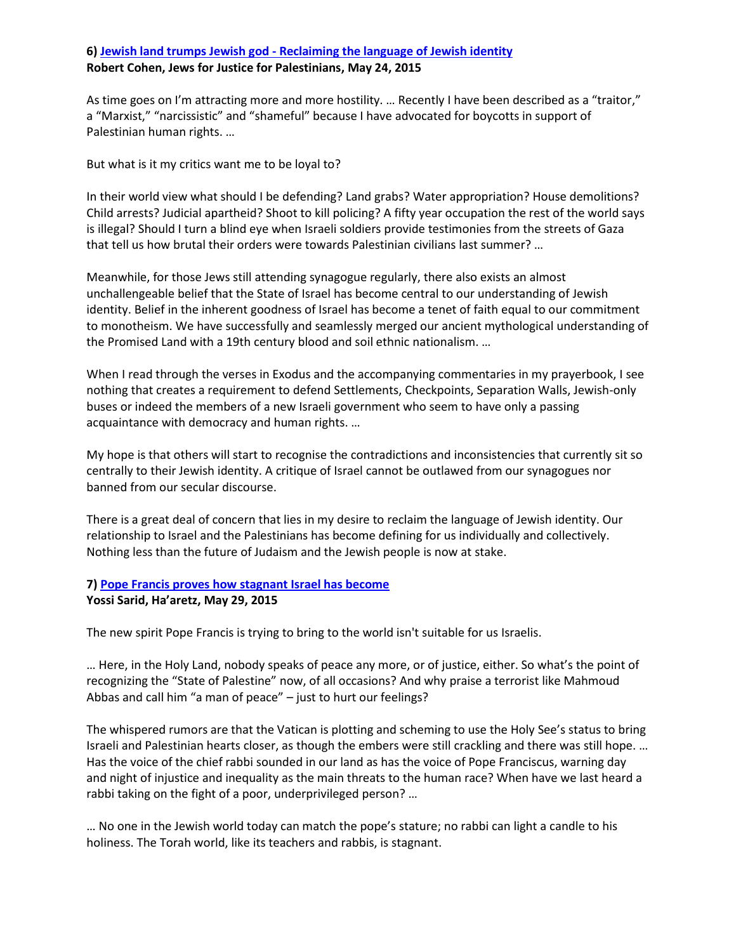# **6) Jewish land trumps Jewish god - [Reclaiming the language of Jewish identity](http://jfjfp.com/?p=72012) Robert Cohen, Jews for Justice for Palestinians, May 24, 2015**

As time goes on I'm attracting more and more hostility. ... Recently I have been described as a "traitor," a "Marxist," "narcissistic" and "shameful" because I have advocated for boycotts in support of Palestinian human rights. …

But what is it my critics want me to be loyal to?

In their world view what should I be defending? Land grabs? Water appropriation? House demolitions? Child arrests? Judicial apartheid? Shoot to kill policing? A fifty year occupation the rest of the world says is illegal? Should I turn a blind eye when Israeli soldiers provide testimonies from the streets of Gaza that tell us how brutal their orders were towards Palestinian civilians last summer? …

Meanwhile, for those Jews still attending synagogue regularly, there also exists an almost unchallengeable belief that the State of Israel has become central to our understanding of Jewish identity. Belief in the inherent goodness of Israel has become a tenet of faith equal to our commitment to monotheism. We have successfully and seamlessly merged our ancient mythological understanding of the Promised Land with a 19th century blood and soil ethnic nationalism. …

When I read through the verses in Exodus and the accompanying commentaries in my prayerbook, I see nothing that creates a requirement to defend Settlements, Checkpoints, Separation Walls, Jewish-only buses or indeed the members of a new Israeli government who seem to have only a passing acquaintance with democracy and human rights. …

My hope is that others will start to recognise the contradictions and inconsistencies that currently sit so centrally to their Jewish identity. A critique of Israel cannot be outlawed from our synagogues nor banned from our secular discourse.

There is a great deal of concern that lies in my desire to reclaim the language of Jewish identity. Our relationship to Israel and the Palestinians has become defining for us individually and collectively. Nothing less than the future of Judaism and the Jewish people is now at stake.

### **7[\) Pope Francis proves how stagnant Israel has become](http://www.haaretz.com/opinion/.premium-1.658676)**

### **Yossi Sarid, Ha'aretz, May 29, 2015**

The new spirit Pope Francis is trying to bring to the world isn't suitable for us Israelis.

… Here, in the Holy Land, nobody speaks of peace any more, or of justice, either. So what's the point of recognizing the "State of Palestine" now, of all occasions? And why praise a terrorist like Mahmoud Abbas and call him "a man of peace" – just to hurt our feelings?

The whispered rumors are that the Vatican is plotting and scheming to use the Holy See's status to bring Israeli and Palestinian hearts closer, as though the embers were still crackling and there was still hope. … Has the voice of the chief rabbi sounded in our land as has the voice of Pope Franciscus, warning day and night of injustice and inequality as the main threats to the human race? When have we last heard a rabbi taking on the fight of a poor, underprivileged person? …

… No one in the Jewish world today can match the pope's stature; no rabbi can light a candle to his holiness. The Torah world, like its teachers and rabbis, is stagnant.